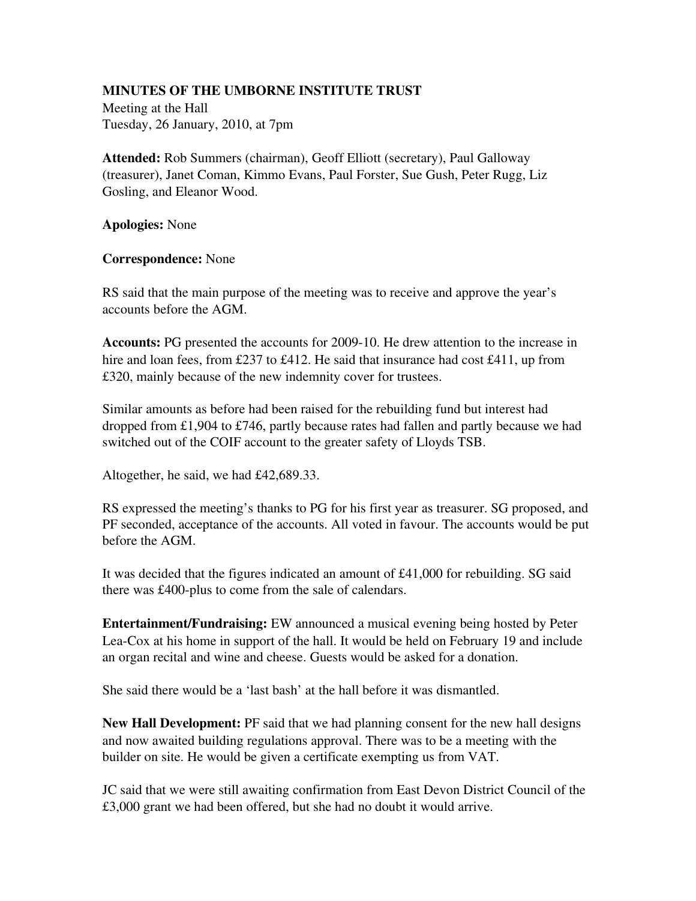## MINUTES OF THE UMBORNE INSTITUTE TRUST

Meeting at the Hall Tuesday, 26 January, 2010, at 7pm

Attended: Rob Summers (chairman), Geoff Elliott (secretary), Paul Galloway (treasurer), Janet Coman, Kimmo Evans, Paul Forster, Sue Gush, Peter Rugg, Liz Gosling, and Eleanor Wood.

Apologies: None

## Correspondence: None

RS said that the main purpose of the meeting was to receive and approve the year's accounts before the AGM.

Accounts: PG presented the accounts for 2009-10. He drew attention to the increase in hire and loan fees, from £237 to £412. He said that insurance had cost £411, up from £320, mainly because of the new indemnity cover for trustees.

Similar amounts as before had been raised for the rebuilding fund but interest had dropped from £1,904 to £746, partly because rates had fallen and partly because we had switched out of the COIF account to the greater safety of Lloyds TSB.

Altogether, he said, we had £42,689.33.

RS expressed the meeting's thanks to PG for his first year as treasurer. SG proposed, and PF seconded, acceptance of the accounts. All voted in favour. The accounts would be put before the AGM.

It was decided that the figures indicated an amount of £41,000 for rebuilding. SG said there was  $£400$ -plus to come from the sale of calendars.

Entertainment/Fundraising: EW announced a musical evening being hosted by Peter Lea-Cox at his home in support of the hall. It would be held on February 19 and include an organ recital and wine and cheese. Guests would be asked for a donation.

She said there would be a 'last bash' at the hall before it was dismantled.

New Hall Development: PF said that we had planning consent for the new hall designs and now awaited building regulations approval. There was to be a meeting with the builder on site. He would be given a certificate exempting us from VAT.

JC said that we were still awaiting confirmation from East Devon District Council of the £3,000 grant we had been offered, but she had no doubt it would arrive.